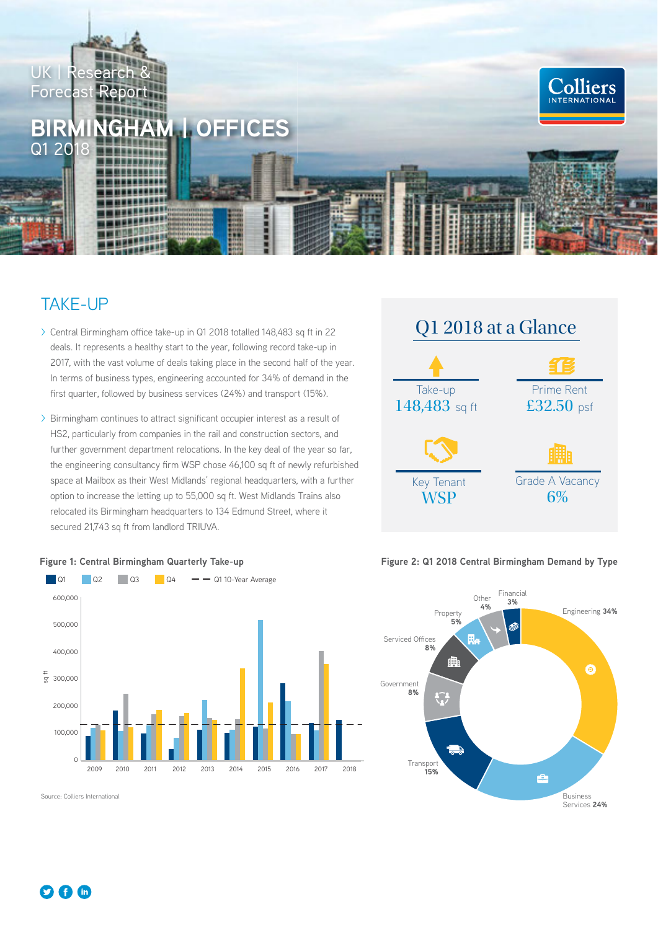

# TAKE-UP

- > Central Birmingham office take-up in Q1 2018 totalled 148,483 sq ft in 22 deals. It represents a healthy start to the year, following record take-up in 2017, with the vast volume of deals taking place in the second half of the year. In terms of business types, engineering accounted for 34% of demand in the first quarter, followed by business services (24%) and transport (15%).
- > Birmingham continues to attract significant occupier interest as a result of HS2, particularly from companies in the rail and construction sectors, and further government department relocations. In the key deal of the year so far, the engineering consultancy firm WSP chose 46,100 sq ft of newly refurbished space at Mailbox as their West Midlands' regional headquarters, with a further option to increase the letting up to 55,000 sq ft. West Midlands Trains also relocated its Birmingham headquarters to 134 Edmund Street, where it secured 21,743 sq ft from landlord TRIUVA.





#### **Figure 1: Central Birmingham Quarterly Take-up**

Source: Colliers International

#### **Figure 2: Q1 2018 Central Birmingham Demand by Type**

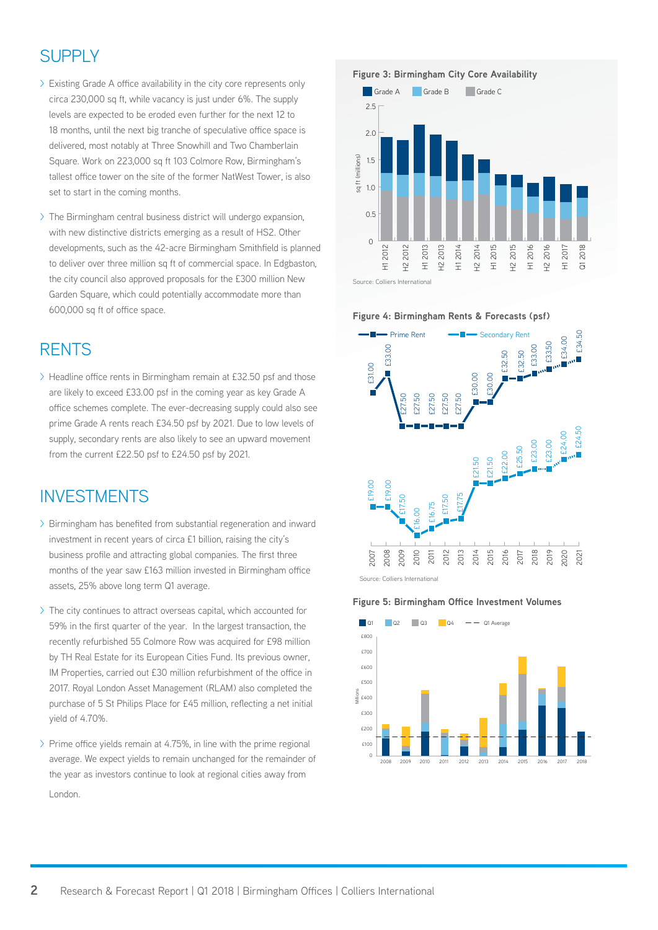## **SUPPLY**

- $\geq$  Existing Grade A office availability in the city core represents only circa 230,000 sq ft, while vacancy is just under 6%. The supply levels are expected to be eroded even further for the next 12 to 18 months, until the next big tranche of speculative office space is delivered, most notably at Three Snowhill and Two Chamberlain Square. Work on 223,000 sq ft 103 Colmore Row, Birmingham's tallest office tower on the site of the former NatWest Tower, is also set to start in the coming months.
- > The Birmingham central business district will undergo expansion, with new distinctive districts emerging as a result of HS2. Other developments, such as the 42-acre Birmingham Smithfield is planned to deliver over three million sq ft of commercial space. In Edgbaston, the city council also approved proposals for the £300 million New Garden Square, which could potentially accommodate more than 600,000 sq ft of office space.

#### **RENTS**

 $\geq$  Headline office rents in Birmingham remain at £32.50 psf and those are likely to exceed £33.00 psf in the coming year as key Grade A office schemes complete. The ever-decreasing supply could also see prime Grade A rents reach £34.50 psf by 2021. Due to low levels of supply, secondary rents are also likely to see an upward movement from the current £22.50 psf to £24.50 psf by 2021.

### INVESTMENTS

- $\geq$  Birmingham has benefited from substantial regeneration and inward investment in recent years of circa £1 billion, raising the city's business profile and attracting global companies. The first three months of the year saw £163 million invested in Birmingham office assets, 25% above long term Q1 average.
- > The city continues to attract overseas capital, which accounted for 59% in the first quarter of the year. In the largest transaction, the recently refurbished 55 Colmore Row was acquired for £98 million by TH Real Estate for its European Cities Fund. Its previous owner, IM Properties, carried out £30 million refurbishment of the office in 2017. Royal London Asset Management (RLAM) also completed the purchase of 5 St Philips Place for £45 million, reflecting a net initial yield of 4.70%.
- $\triangleright$  Prime office yields remain at 4.75%, in line with the prime regional average. We expect yields to remain unchanged for the remainder of the year as investors continue to look at regional cities away from London.









**Figure 4: Birmingham Rents & Forecasts (psf)**